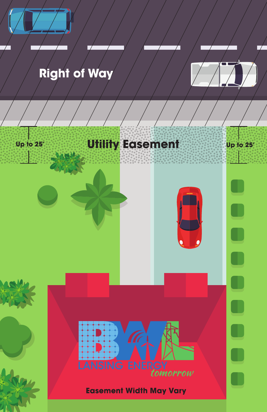